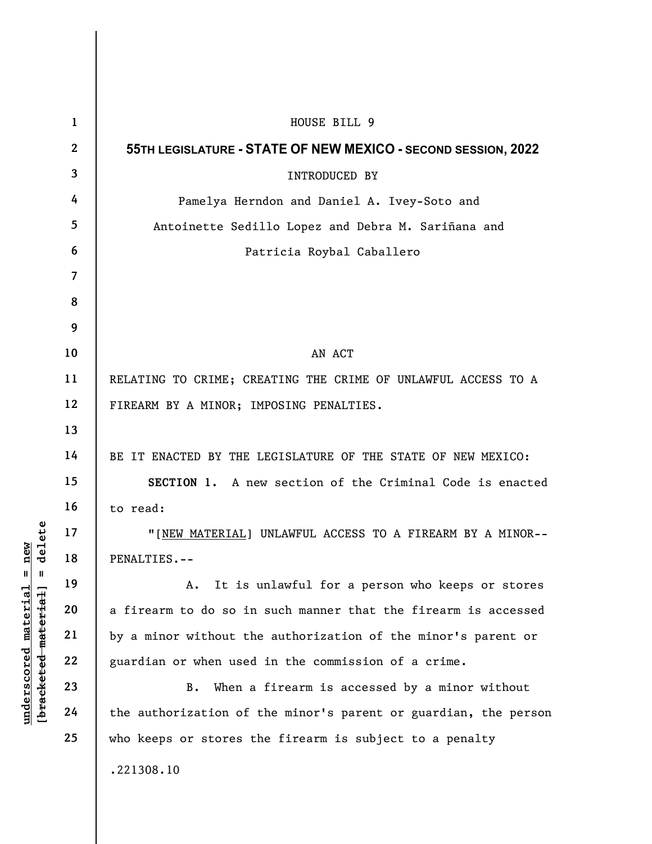| delete<br>new<br>$\mathsf{I}$<br>Ш<br>$underscored$ material<br>[bracketed-material] | $\mathbf{1}$   | HOUSE BILL 9                                                    |
|--------------------------------------------------------------------------------------|----------------|-----------------------------------------------------------------|
|                                                                                      | $\mathbf{2}$   | 55TH LEGISLATURE - STATE OF NEW MEXICO - SECOND SESSION, 2022   |
|                                                                                      | $\mathbf{3}$   | INTRODUCED BY                                                   |
|                                                                                      | 4              | Pamelya Herndon and Daniel A. Ivey-Soto and                     |
|                                                                                      | 5              | Antoinette Sedillo Lopez and Debra M. Sariñana and              |
|                                                                                      | 6              | Patricia Roybal Caballero                                       |
|                                                                                      | $\overline{7}$ |                                                                 |
|                                                                                      | 8              |                                                                 |
|                                                                                      | 9              |                                                                 |
|                                                                                      | 10             | AN ACT                                                          |
|                                                                                      | 11             | RELATING TO CRIME; CREATING THE CRIME OF UNLAWFUL ACCESS TO A   |
|                                                                                      | 12             | FIREARM BY A MINOR; IMPOSING PENALTIES.                         |
|                                                                                      | 13             |                                                                 |
|                                                                                      | 14             | BE IT ENACTED BY THE LEGISLATURE OF THE STATE OF NEW MEXICO:    |
|                                                                                      | 15             | SECTION 1. A new section of the Criminal Code is enacted        |
|                                                                                      | 16             | to read:                                                        |
|                                                                                      | 17             | "[NEW MATERIAL] UNLAWFUL ACCESS TO A FIREARM BY A MINOR--       |
|                                                                                      | 18             | PENALTIES.--                                                    |
|                                                                                      | 19             | It is unlawful for a person who keeps or stores<br>Α.           |
|                                                                                      | 20             | a firearm to do so in such manner that the firearm is accessed  |
|                                                                                      | 21             | by a minor without the authorization of the minor's parent or   |
|                                                                                      | 22             | guardian or when used in the commission of a crime.             |
|                                                                                      | 23             | When a firearm is accessed by a minor without<br>B.             |
|                                                                                      | 24             | the authorization of the minor's parent or guardian, the person |
|                                                                                      | 25             | who keeps or stores the firearm is subject to a penalty         |
|                                                                                      |                | .221308.10                                                      |
|                                                                                      |                |                                                                 |
|                                                                                      |                |                                                                 |

 $\overline{\phantom{a}}$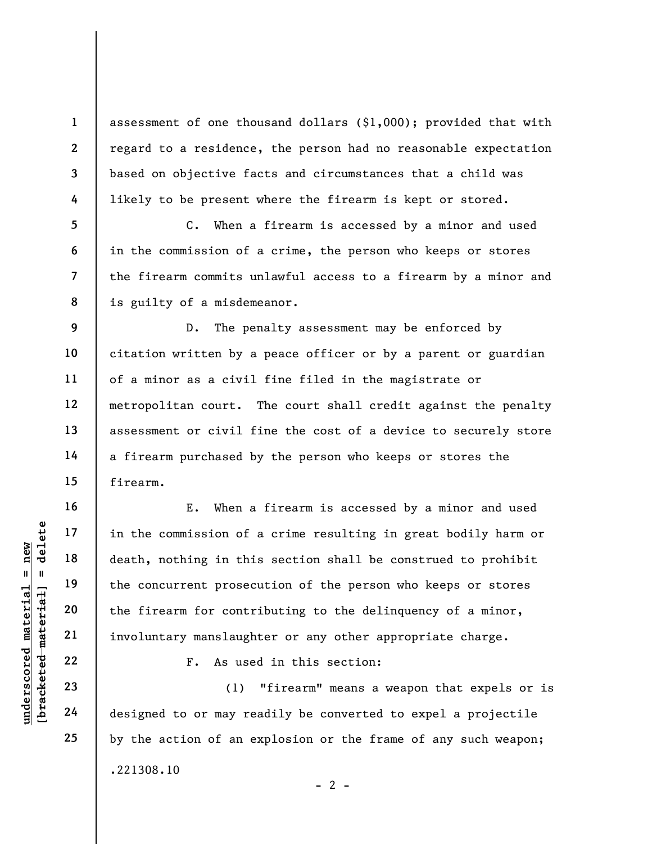assessment of one thousand dollars (\$1,000); provided that with regard to a residence, the person had no reasonable expectation based on objective facts and circumstances that a child was likely to be present where the firearm is kept or stored.

C. When a firearm is accessed by a minor and used in the commission of a crime, the person who keeps or stores the firearm commits unlawful access to a firearm by a minor and is guilty of a misdemeanor.

D. The penalty assessment may be enforced by citation written by a peace officer or by a parent or guardian of a minor as a civil fine filed in the magistrate or metropolitan court. The court shall credit against the penalty assessment or civil fine the cost of a device to securely store a firearm purchased by the person who keeps or stores the firearm.

understand material material in the commission of<br>
death, nothing in this<br>
death, nothing in this<br>
the concurrent prosec<br>
the firearm for contr<br>
involuntary manslaugh<br>
22<br>
23<br>
24<br>
designed to or may re E. When a firearm is accessed by a minor and used in the commission of a crime resulting in great bodily harm or death, nothing in this section shall be construed to prohibit the concurrent prosecution of the person who keeps or stores the firearm for contributing to the delinquency of a minor, involuntary manslaughter or any other appropriate charge.

F. As used in this section:

(1) "firearm" means a weapon that expels or is designed to or may readily be converted to expel a projectile by the action of an explosion or the frame of any such weapon; .221308.10

1

2

3

4

5

6

7

8

9

10

11

12

13

14

15

16

17

18

19

20

21

22

23

24

25

 $- 2 -$